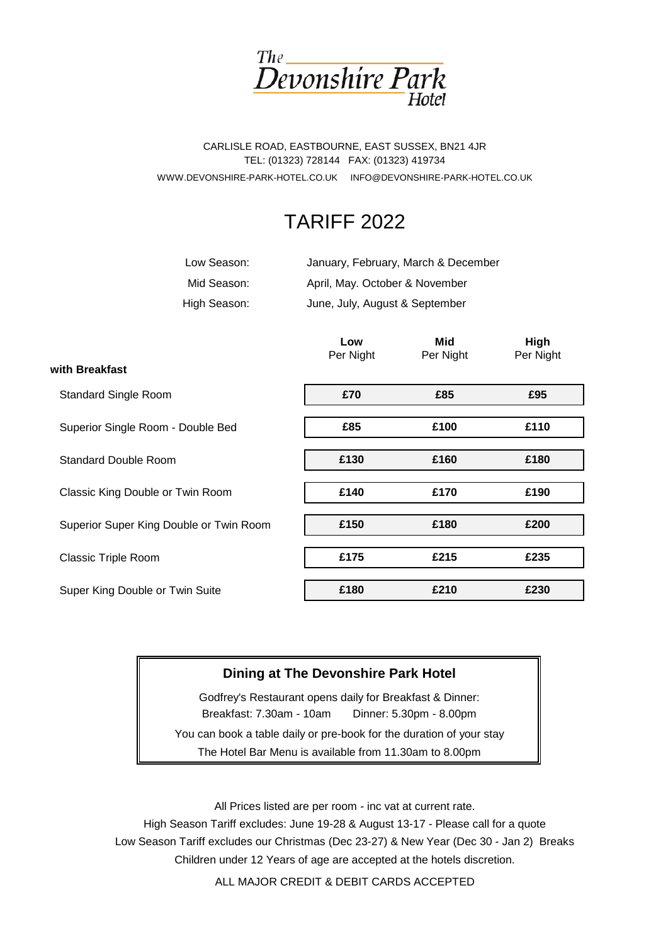

WWW.DEVONSHIRE-PARK-HOTEL.CO.UK INFO@DEVONSHIRE-PARK-HOTEL.CO.UK CARLISLE ROAD, EASTBOURNE, EAST SUSSEX, BN21 4JR TEL: (01323) 728144 FAX: (01323) 419734

# TARIFF 2022

| Low Season:  | January, February, March & December |
|--------------|-------------------------------------|
| Mid Season:  | April, May. October & November      |
| High Season: | June, July, August & September      |

|                                         | Low<br>Per Night | Mid<br>Per Night | High<br>Per Night |
|-----------------------------------------|------------------|------------------|-------------------|
| with Breakfast                          |                  |                  |                   |
| <b>Standard Single Room</b>             | £70              | £85              | £95               |
| Superior Single Room - Double Bed       | £85              | £100             | £110              |
| <b>Standard Double Room</b>             | £130             | £160             | £180              |
| Classic King Double or Twin Room        | £140             | £170             | £190              |
| Superior Super King Double or Twin Room | £150             | £180             | £200              |
| <b>Classic Triple Room</b>              | £175             | £215             | £235              |
| Super King Double or Twin Suite         | £180             | £210             | £230              |

## **Dining at The Devonshire Park Hotel**

The Hotel Bar Menu is available from 11.30am to 8.00pm You can book a table daily or pre-book for the duration of your stay Godfrey's Restaurant opens daily for Breakfast & Dinner: Breakfast: 7.30am - 10am Dinner: 5.30pm - 8.00pm

All Prices listed are per room - inc vat at current rate.

High Season Tariff excludes: June 19-28 & August 13-17 - Please call for a quote Children under 12 Years of age are accepted at the hotels discretion. Low Season Tariff excludes our Christmas (Dec 23-27) & New Year (Dec 30 - Jan 2) Breaks

ALL MAJOR CREDIT & DEBIT CARDS ACCEPTED